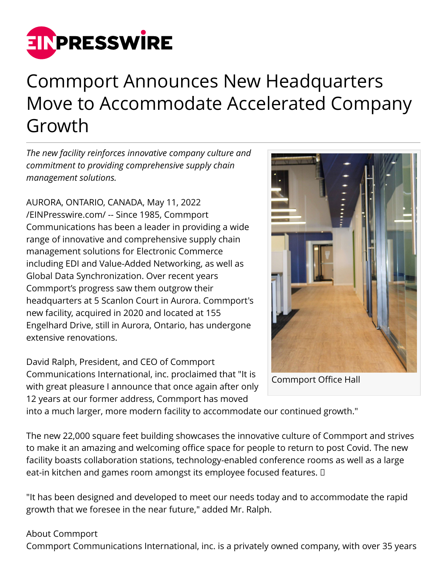

## Commport Announces New Headquarters Move to Accommodate Accelerated Company Growth

*The new facility reinforces innovative company culture and commitment to providing comprehensive supply chain management solutions.*

AURORA, ONTARIO, CANADA, May 11, 2022 [/EINPresswire.com/](http://www.einpresswire.com) -- Since 1985, Commport Communications has been a leader in providing a wide range of innovative and comprehensive supply chain management solutions for Electronic Commerce including EDI and Value-Added Networking, as well as Global Data Synchronization. Over recent years Commport's progress saw them outgrow their headquarters at 5 Scanlon Court in Aurora. Commport's new facility, acquired in 2020 and located at 155 Engelhard Drive, still in Aurora, Ontario, has undergone extensive renovations.

David Ralph, President, and CEO of Commport Communications International, inc. proclaimed that "It is with great pleasure I announce that once again after only 12 years at our former address, Commport has moved



Commport Office Hall

into a much larger, more modern facility to accommodate our continued growth."

The new 22,000 square feet building showcases the innovative culture of Commport and strives to make it an amazing and welcoming office space for people to return to post Covid. The new facility boasts collaboration stations, technology-enabled conference rooms as well as a large eat-in kitchen and games room amongst its employee focused features.  $\square$ 

"It has been designed and developed to meet our needs today and to accommodate the rapid growth that we foresee in the near future," added Mr. Ralph.

## About Commport

Commport Communications International, inc. is a privately owned company, with over 35 years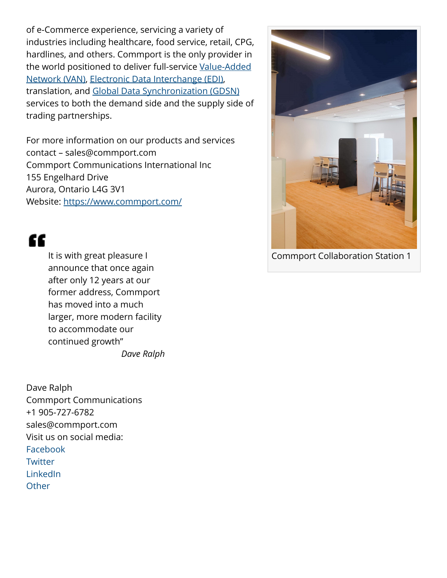of e-Commerce experience, servicing a variety of industries including healthcare, food service, retail, CPG, hardlines, and others. Commport is the only provider in the world positioned to deliver full-service [Value-Added](https://www.commport.com/value-added-network/) [Network \(VAN\)](https://www.commport.com/value-added-network/), [Electronic Data Interchange \(EDI\),](https://www.commport.com/commport-edi-service/) translation, and [Global Data Synchronization \(GDSN\)](https://www.commport.com/global_data_synchronization_network/) services to both the demand side and the supply side of trading partnerships.

For more information on our products and services contact – sales@commport.com Commport Communications International Inc 155 Engelhard Drive Aurora, Ontario L4G 3V1 Website: <https://www.commport.com/>

"

It is with great pleasure I announce that once again after only 12 years at our former address, Commport has moved into a much larger, more modern facility to accommodate our continued growth" *Dave Ralph*

Dave Ralph Commport Communications +1 905-727-6782 sales@commport.com Visit us on social media: [Facebook](https://www.facebook.com/CommportCommunications/) **[Twitter](https://twitter.com/commportcomm)** [LinkedIn](https://www.linkedin.com/company/commport-communication-international-inc/) **[Other](https://www.instagram.com/commportcommunications/?hl=en)** 



Commport Collaboration Station 1